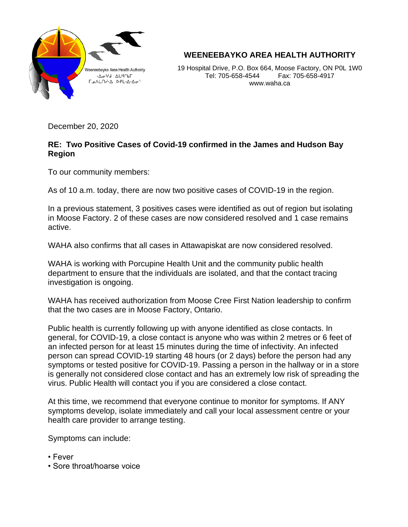

**WEENEEBAYKO AREA HEALTH AUTHORITY**

19 Hospital Drive, P.O. Box 664, Moose Factory, ON P0L 1W0 Tel: 705-658-4544 Fax: 705-658-4917 www.waha.ca

December 20, 2020

## **RE: Two Positive Cases of Covid-19 confirmed in the James and Hudson Bay Region**

To our community members:

As of 10 a.m. today, there are now two positive cases of COVID-19 in the region.

In a previous statement, 3 positives cases were identified as out of region but isolating in Moose Factory. 2 of these cases are now considered resolved and 1 case remains active.

WAHA also confirms that all cases in Attawapiskat are now considered resolved.

WAHA is working with Porcupine Health Unit and the community public health department to ensure that the individuals are isolated, and that the contact tracing investigation is ongoing.

WAHA has received authorization from Moose Cree First Nation leadership to confirm that the two cases are in Moose Factory, Ontario.

Public health is currently following up with anyone identified as close contacts. In general, for COVID-19, a close contact is anyone who was within 2 metres or 6 feet of an infected person for at least 15 minutes during the time of infectivity. An infected person can spread COVID-19 starting 48 hours (or 2 days) before the person had any symptoms or tested positive for COVID-19. Passing a person in the hallway or in a store is generally not considered close contact and has an extremely low risk of spreading the virus. Public Health will contact you if you are considered a close contact.

At this time, we recommend that everyone continue to monitor for symptoms. If ANY symptoms develop, isolate immediately and call your local assessment centre or your health care provider to arrange testing.

Symptoms can include:

- Fever
- Sore throat/hoarse voice